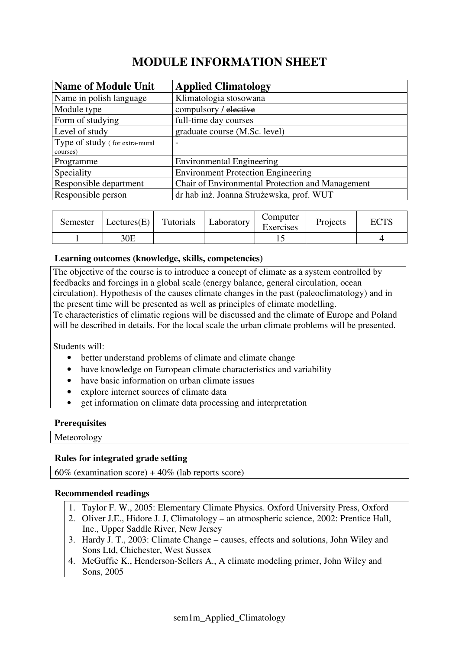# **MODULE INFORMATION SHEET**

| <b>Name of Module Unit</b>     | <b>Applied Climatology</b>                       |
|--------------------------------|--------------------------------------------------|
| Name in polish language        | Klimatologia stosowana                           |
| Module type                    | compulsory / elective                            |
| Form of studying               | full-time day courses                            |
| Level of study                 | graduate course (M.Sc. level)                    |
| Type of study (for extra-mural | $\overline{\phantom{0}}$                         |
| courses)                       |                                                  |
| Programme                      | <b>Environmental Engineering</b>                 |
| Speciality                     | <b>Environment Protection Engineering</b>        |
| Responsible department         | Chair of Environmental Protection and Management |
| Responsible person             | dr hab inż. Joanna Strużewska, prof. WUT         |

| Semester | Lectures(E) | Tutorials | Laboratory | Computer<br>Exercises | Projects | <b>ECTS</b> |
|----------|-------------|-----------|------------|-----------------------|----------|-------------|
|          | 30E         |           |            |                       |          |             |

# **Learning outcomes (knowledge, skills, competencies)**

The objective of the course is to introduce a concept of climate as a system controlled by feedbacks and forcings in a global scale (energy balance, general circulation, ocean circulation). Hypothesis of the causes climate changes in the past (paleoclimatology) and in the present time will be presented as well as principles of climate modelling. Te characteristics of climatic regions will be discussed and the climate of Europe and Poland will be described in details. For the local scale the urban climate problems will be presented.

Students will:

- better understand problems of climate and climate change
- have knowledge on European climate characteristics and variability
- have basic information on urban climate issues
- explore internet sources of climate data
- get information on climate data processing and interpretation

# **Prerequisites**

Meteorology

# **Rules for integrated grade setting**

 $60\%$  (examination score) +  $40\%$  (lab reports score)

# **Recommended readings**

- 1. Taylor F. W., 2005: Elementary Climate Physics. Oxford University Press, Oxford
- 2. Oliver J.E., Hidore J. J, Climatology an atmospheric science, 2002: Prentice Hall, Inc., Upper Saddle River, New Jersey
- 3. Hardy J. T., 2003: Climate Change causes, effects and solutions, John Wiley and Sons Ltd, Chichester, West Sussex
- 4. McGuffie K., Henderson-Sellers A., A climate modeling primer, John Wiley and Sons, 2005